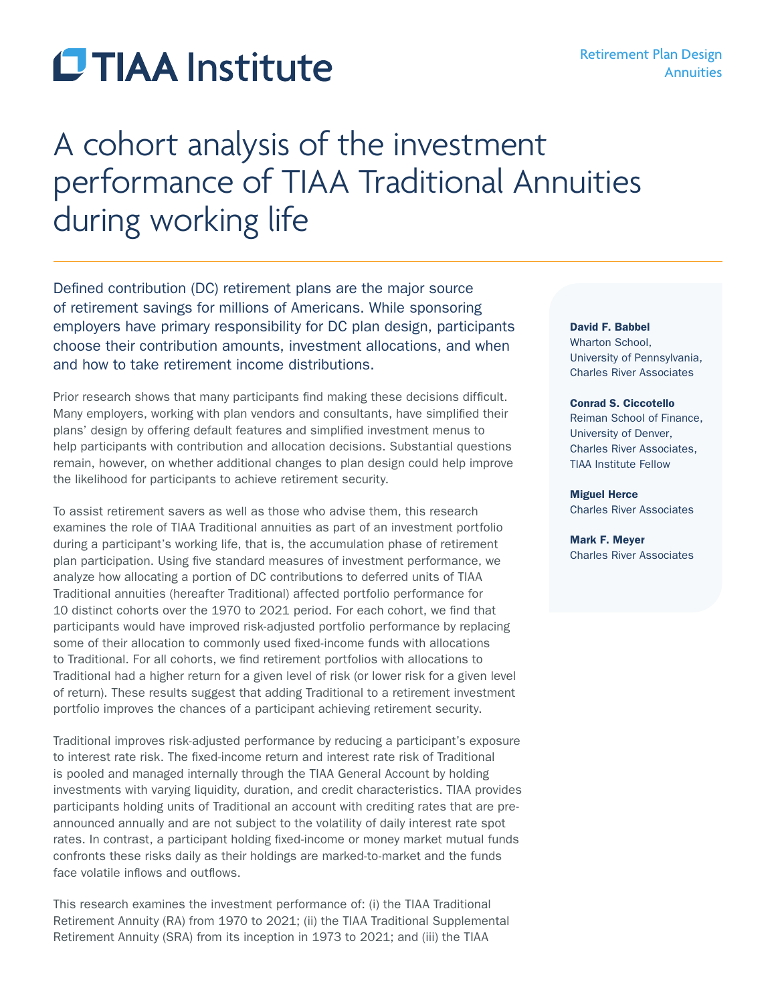# **CTIAA** Institute

# A cohort analysis of the investment performance of TIAA Traditional Annuities during working life

Defined contribution (DC) retirement plans are the major source of retirement savings for millions of Americans. While sponsoring employers have primary responsibility for DC plan design, participants choose their contribution amounts, investment allocations, and when and how to take retirement income distributions.

Prior research shows that many participants find making these decisions difficult. Many employers, working with plan vendors and consultants, have simplified their plans' design by offering default features and simplified investment menus to help participants with contribution and allocation decisions. Substantial questions remain, however, on whether additional changes to plan design could help improve the likelihood for participants to achieve retirement security.

To assist retirement savers as well as those who advise them, this research examines the role of TIAA Traditional annuities as part of an investment portfolio during a participant's working life, that is, the accumulation phase of retirement plan participation. Using five standard measures of investment performance, we analyze how allocating a portion of DC contributions to deferred units of TIAA Traditional annuities (hereafter Traditional) affected portfolio performance for 10 distinct cohorts over the 1970 to 2021 period. For each cohort, we find that participants would have improved risk-adjusted portfolio performance by replacing some of their allocation to commonly used fixed-income funds with allocations to Traditional. For all cohorts, we find retirement portfolios with allocations to Traditional had a higher return for a given level of risk (or lower risk for a given level of return). These results suggest that adding Traditional to a retirement investment portfolio improves the chances of a participant achieving retirement security.

Traditional improves risk-adjusted performance by reducing a participant's exposure to interest rate risk. The fixed-income return and interest rate risk of Traditional is pooled and managed internally through the TIAA General Account by holding investments with varying liquidity, duration, and credit characteristics. TIAA provides participants holding units of Traditional an account with crediting rates that are preannounced annually and are not subject to the volatility of daily interest rate spot rates. In contrast, a participant holding fixed-income or money market mutual funds confronts these risks daily as their holdings are marked-to-market and the funds face volatile inflows and outflows.

This research examines the investment performance of: (i) the TIAA Traditional Retirement Annuity (RA) from 1970 to 2021; (ii) the TIAA Traditional Supplemental Retirement Annuity (SRA) from its inception in 1973 to 2021; and (iii) the TIAA

#### David F. Babbel

Wharton School, University of Pennsylvania, Charles River Associates

#### Conrad S. Ciccotello

Reiman School of Finance, University of Denver, Charles River Associates, TIAA Institute Fellow

#### Miguel Herce Charles River Associates

Mark F. Meyer Charles River Associates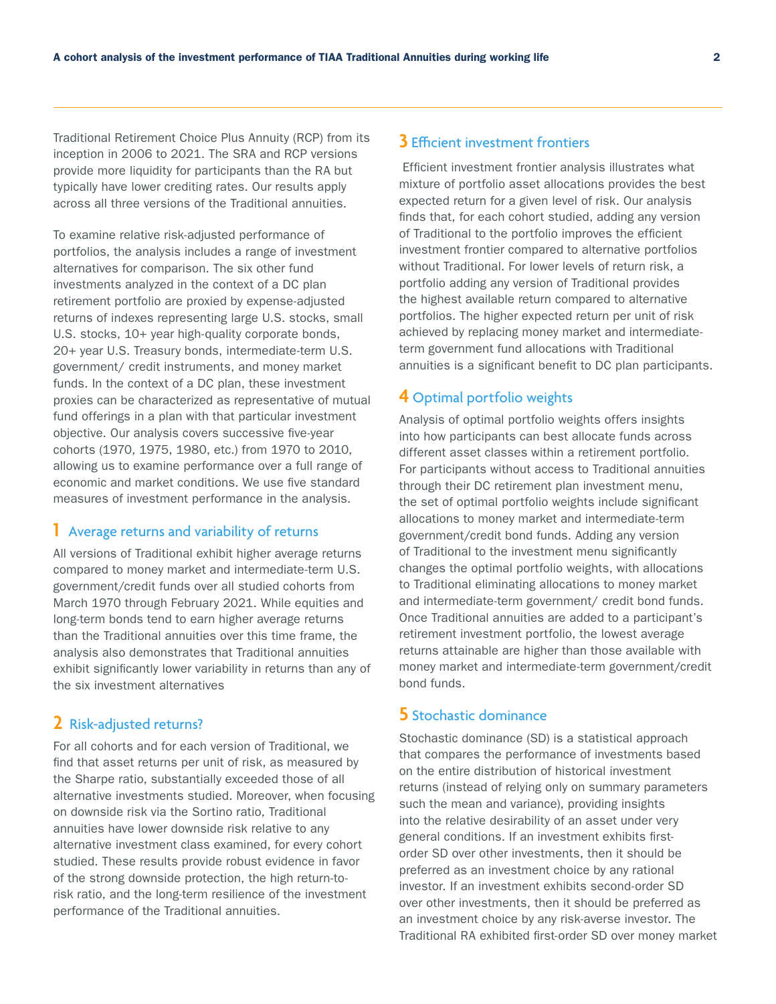Traditional Retirement Choice Plus Annuity (RCP) from its inception in 2006 to 2021. The SRA and RCP versions provide more liquidity for participants than the RA but typically have lower crediting rates. Our results apply across all three versions of the Traditional annuities.

To examine relative risk-adjusted performance of portfolios, the analysis includes a range of investment alternatives for comparison. The six other fund investments analyzed in the context of a DC plan retirement portfolio are proxied by expense-adjusted returns of indexes representing large U.S. stocks, small U.S. stocks, 10+ year high-quality corporate bonds, 20+ year U.S. Treasury bonds, intermediate-term U.S. government/ credit instruments, and money market funds. In the context of a DC plan, these investment proxies can be characterized as representative of mutual fund offerings in a plan with that particular investment objective. Our analysis covers successive five-year cohorts (1970, 1975, 1980, etc.) from 1970 to 2010, allowing us to examine performance over a full range of economic and market conditions. We use five standard measures of investment performance in the analysis.

#### **1** Average returns and variability of returns

All versions of Traditional exhibit higher average returns compared to money market and intermediate-term U.S. government/credit funds over all studied cohorts from March 1970 through February 2021. While equities and long-term bonds tend to earn higher average returns than the Traditional annuities over this time frame, the analysis also demonstrates that Traditional annuities exhibit significantly lower variability in returns than any of the six investment alternatives

# **2** Risk-adjusted returns?

For all cohorts and for each version of Traditional, we find that asset returns per unit of risk, as measured by the Sharpe ratio, substantially exceeded those of all alternative investments studied. Moreover, when focusing on downside risk via the Sortino ratio, Traditional annuities have lower downside risk relative to any alternative investment class examined, for every cohort studied. These results provide robust evidence in favor of the strong downside protection, the high return-torisk ratio, and the long-term resilience of the investment performance of the Traditional annuities.

# **3** Efficient investment frontiers

Efficient investment frontier analysis illustrates what mixture of portfolio asset allocations provides the best expected return for a given level of risk. Our analysis finds that, for each cohort studied, adding any version of Traditional to the portfolio improves the efficient investment frontier compared to alternative portfolios without Traditional. For lower levels of return risk, a portfolio adding any version of Traditional provides the highest available return compared to alternative portfolios. The higher expected return per unit of risk achieved by replacing money market and intermediateterm government fund allocations with Traditional annuities is a significant benefit to DC plan participants.

#### **4** Optimal portfolio weights

Analysis of optimal portfolio weights offers insights into how participants can best allocate funds across different asset classes within a retirement portfolio. For participants without access to Traditional annuities through their DC retirement plan investment menu, the set of optimal portfolio weights include significant allocations to money market and intermediate-term government/credit bond funds. Adding any version of Traditional to the investment menu significantly changes the optimal portfolio weights, with allocations to Traditional eliminating allocations to money market and intermediate-term government/ credit bond funds. Once Traditional annuities are added to a participant's retirement investment portfolio, the lowest average returns attainable are higher than those available with money market and intermediate-term government/credit bond funds.

### **5** Stochastic dominance

Stochastic dominance (SD) is a statistical approach that compares the performance of investments based on the entire distribution of historical investment returns (instead of relying only on summary parameters such the mean and variance), providing insights into the relative desirability of an asset under very general conditions. If an investment exhibits firstorder SD over other investments, then it should be preferred as an investment choice by any rational investor. If an investment exhibits second-order SD over other investments, then it should be preferred as an investment choice by any risk-averse investor. The Traditional RA exhibited first-order SD over money market